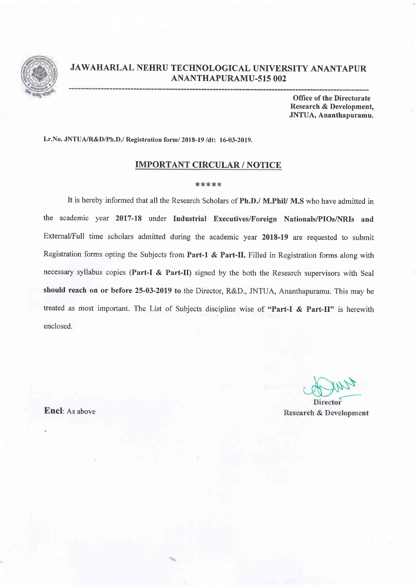

## JAWAHARLAL NEHRU TECHNOLOGICAL UNIVERSITY ANANTAPUR ANANTHAPURAMU-sIs OO2

Office of the Directorate Research & Development, JNTUA, Ananthapuramu.

Lr.No. JNTUA/R&D/Ph.D./ Registration form/ 2018-19 /dt: 16-03-2019.

## IMPORTANT CIRCULAR / NOTICE

## \*\*\*\*\*

It is hereby informed that all the Research Scholars of Ph.D./ M.PhiV M.S who have admitted in the academic year 2017-18 under Industrial Executives/Foreign Nationals/PIOs/NRIs and Extemal/Full time scholars admitted during the academic year 2018-19 are requested to submit Registration forms opting the Subjects from Part-1 & Part-II. Filled in Registration forms along with necessary syllabus copies (Part-I & Part-II) signed by the both the Research supervisors with Seal should reach on or before 25-03-2019 to the Director, R&D., JNTUA, Ananthapuramu. This may be treated as most important. The List of Subjects discipline wise of "Part-I & Part-II" is herewith enclosed.

Director **Research & Development** 

Encl: As above